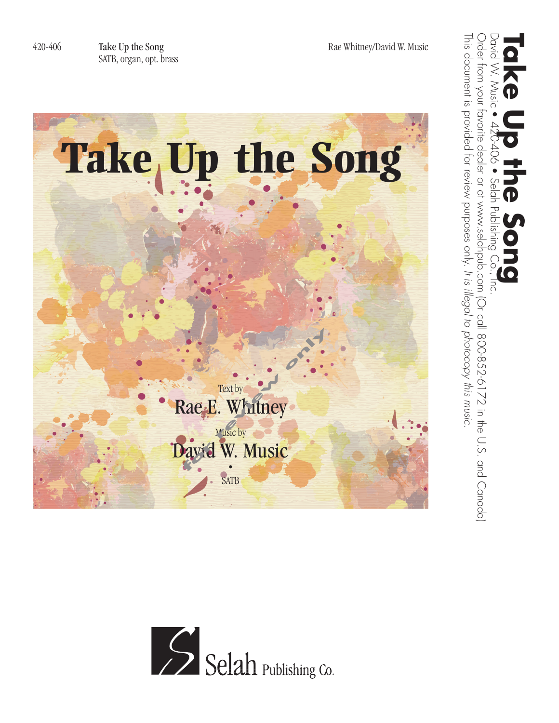

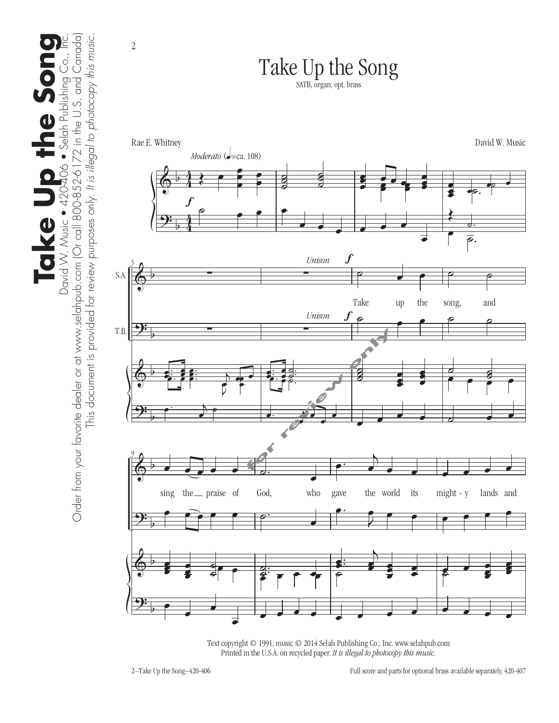

Text copyright © 1991, music © 2014 Selah Publishing Co., Inc. www.selahpub.com Printed in the U.S.A. on recycled paper. *It is illegal to photocopy this music.* 

the Son

**S** 

Take<sup>l</sup>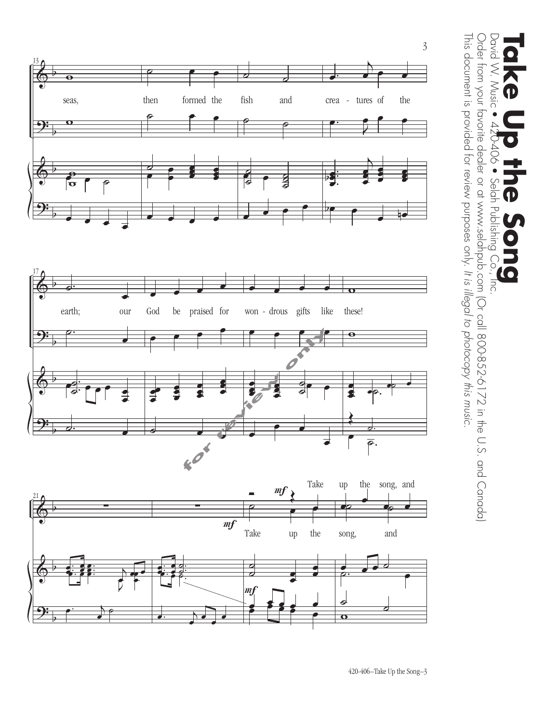



This document is provided for review purposes only. It is illegal to photocopy this music. Order from your favorite dealer or at www.selahpub.com (Or call 800-852-6172 in the U.S. and Canada) This document is provided for review purposes only. Order from your favorite dealer or at www.selahpub.com (Or call 800-852-6172 in the U.S. and Canada) David W. Music David W. Music • 420-406 • Selah Publishing Co., Inc. **Take Up the Song**  $406$ Selah Publishing  $\bigcirc$ *It is illegal to photocopy this music.*  $\overline{10}$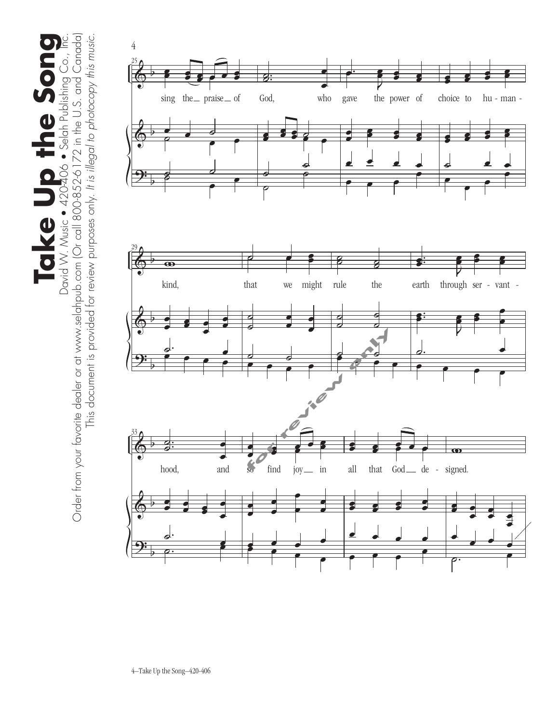David W. Music • 420-406 • Selah Publishing Co., Inc.<br>Order from your favorite dealer or at www.selahpub.com (Or call 800-852-6172 in the U.S. and Canada) Order from your favorite dealer or at www.selahpub.com (Or call 800-852-6172 in the U.S. and Canada) **Take Up the Song** This document is provided for review purposes only. It is illegal to photocopy this music. This document is provided for review purposes only. *It is illegal to photocopy this music.*  $\bullet$ Take Up the Son

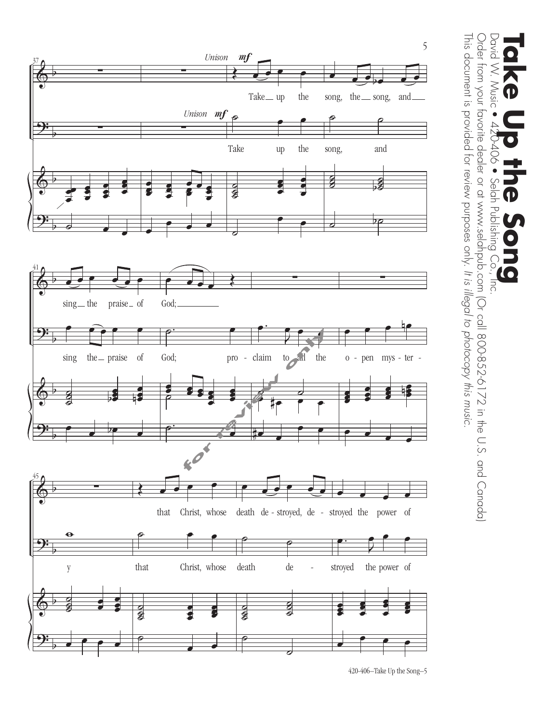

Order from your favorite dealer or at www.selahpub.com (Or call 800-852-6172 in the U.S. and Canada) This document is provided for review purposes only. It is illegal to photocopy this music. This document is provided for review purposes only. Order from your favorite dealer or at www.selahpub.com (Or call 800-852-6172 in the U.S. and Canada) David W. Music David W. Music • 420-406 • Selah Publishing Co., Inc. **Take Up the Song**  $\bullet$  90 Selah Publishing  $\bigodot$ *It is illegal to photocopy this music.*  $\overline{\overline{C}}$ .

420-406–Take Up the Song–5 420-406–Take Up the Song–5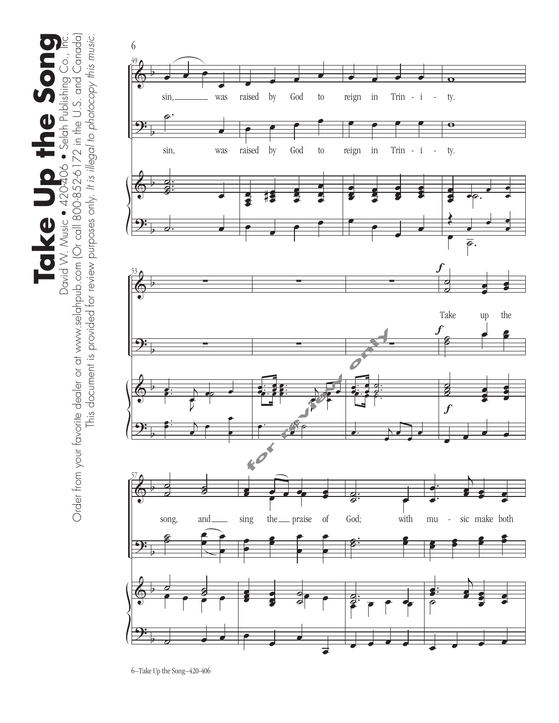Order from your favorite dealer or at www.selahpub.com (Or call 800-852-6172 in the U.S. and Canada) Order from your favorite dealer or at www.selahpub.com (Or call 800-852-6172 in the U.S. and Canada) **Take Up the Song** David W. Music . 420-406 . Selah Publishing Co., Inc. This document is provided for review purposes only. It is illegal to photocopy this music. This document is provided for review purposes only. *It is illegal to photocopy this music.*  $\bullet$ Take Up the Song

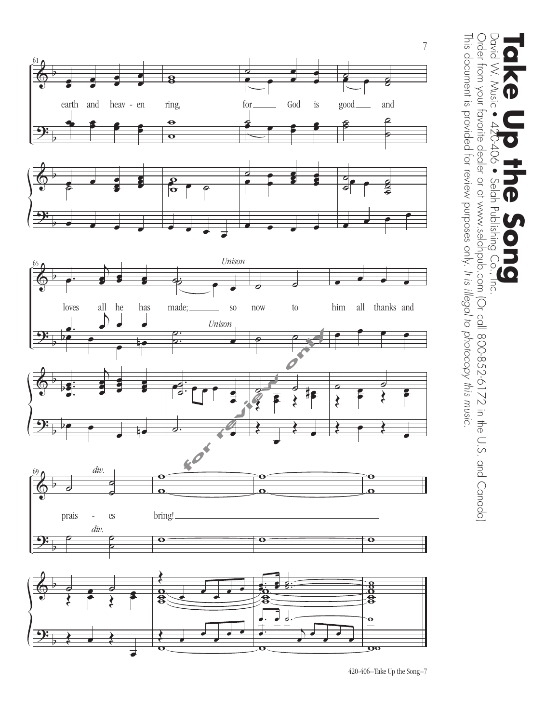

This document is provided for review purposes only. It is illegal to photocopy this music. Order from your favorite dealer or at www.selahpub.com (Or call 800-852-6172 in the U.S. and Canada) This document is provided for review purposes only. Order from your favorite dealer or at www.selahpub.com (Or call 800-852-6172 in the U.S. and Canada) David W. Music David W. Music • 420-406 • Selah Publishing Co., Inc. **Take Up the Song**  $406$ Selah Publishing Co., Đ 10 *It is illegal to photocopy this music.*  $\overline{5}$ 

420-406–Take Up the Song–7 420-406–Take Up the Song–7